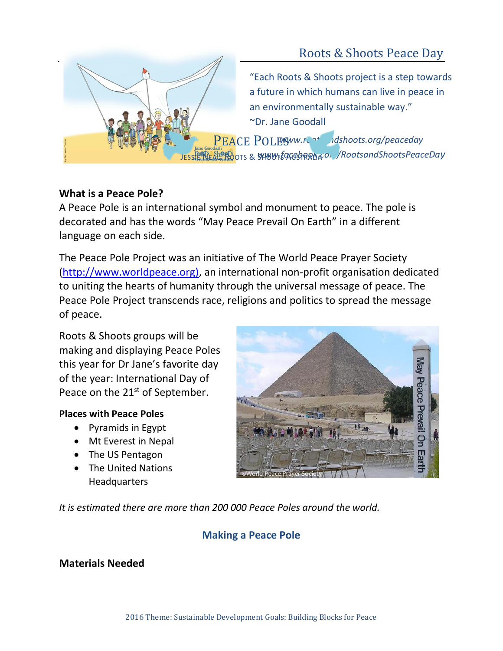

# **What is a Peace Pole?**

A Peace Pole is an international symbol and monument to peace. The pole is decorated and has the words "May Peace Prevail On Earth" in a different language on each side.

The Peace Pole Project was an initiative of The World Peace Prayer Society [\(http://www.worldpeace.org\)](http://www.worldpeace.org/), an international non-profit organisation dedicated to uniting the hearts of humanity through the universal message of peace. The Peace Pole Project transcends race, religions and politics to spread the message of peace.

Roots & Shoots groups will be making and displaying Peace Poles this year for Dr Jane's favorite day of the year: International Day of Peace on the 21<sup>st</sup> of September.

## **Places with Peace Poles**

- Pyramids in Egypt
- Mt Everest in Nepal
- The US Pentagon
- The United Nations Headquarters

**Tay Peace Prevail** ©World Peace Prayer Society

*It is estimated there are more than 200 000 Peace Poles around the world.*

# **Making a Peace Pole**

## **Materials Needed**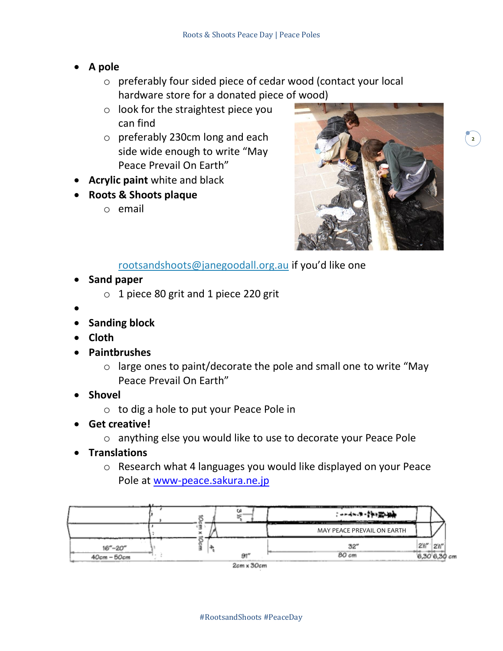- **A pole**
	- o preferably four sided piece of cedar wood (contact your local hardware store for a donated piece of wood)
	- o look for the straightest piece you can find
	- o preferably 230cm long and each side wide enough to write "May Peace Prevail On Earth"
- **Acrylic paint** white and black
- **Roots & Shoots plaque**
	- o email



[rootsandshoots@janegoodall.org.au](mailto:rootsandshoots@janegoodall.org.au) if you'd like one

- **Sand paper**
	- o 1 piece 80 grit and 1 piece 220 grit
- •
- **Sanding block**
- **Cloth**
- **Paintbrushes**
	- o large ones to paint/decorate the pole and small one to write "May Peace Prevail On Earth"
- **Shovel**
	- o to dig a hole to put your Peace Pole in
- **Get creative!**
	- o anything else you would like to use to decorate your Peace Pole
- **Translations**
	- o Research what 4 languages you would like displayed on your Peace Pole at<www-peace.sakura.ne.jp>

| ---         |    |                            |              |    |  |
|-------------|----|----------------------------|--------------|----|--|
|             |    | MAY PEACE PREVAIL ON EARTH |              |    |  |
| $16 - 20$   |    | 32″                        | 2%           | 2W |  |
| 40ст - 50ст | äИ | 80 cm                      | 6,30,6,30 cm |    |  |

2cm x 30cm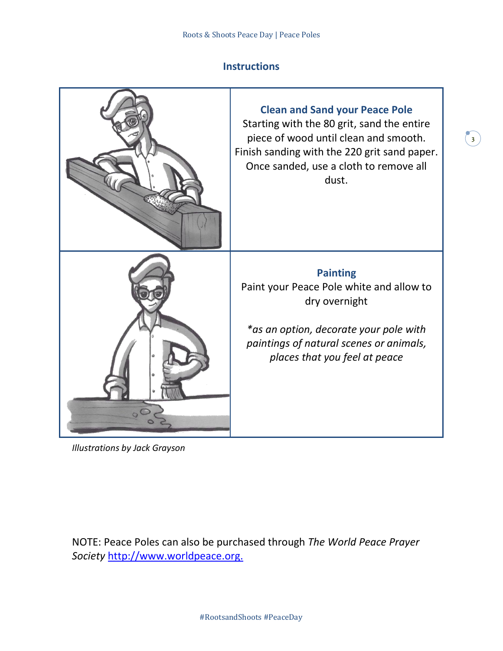### **Instructions**

 $\begin{bmatrix} 3 \end{bmatrix}$ 



*Illustrations by Jack Grayson*

NOTE: Peace Poles can also be purchased through *The World Peace Prayer Society* [http://www.worldpeace.org.](http://www.worldpeace.org/)